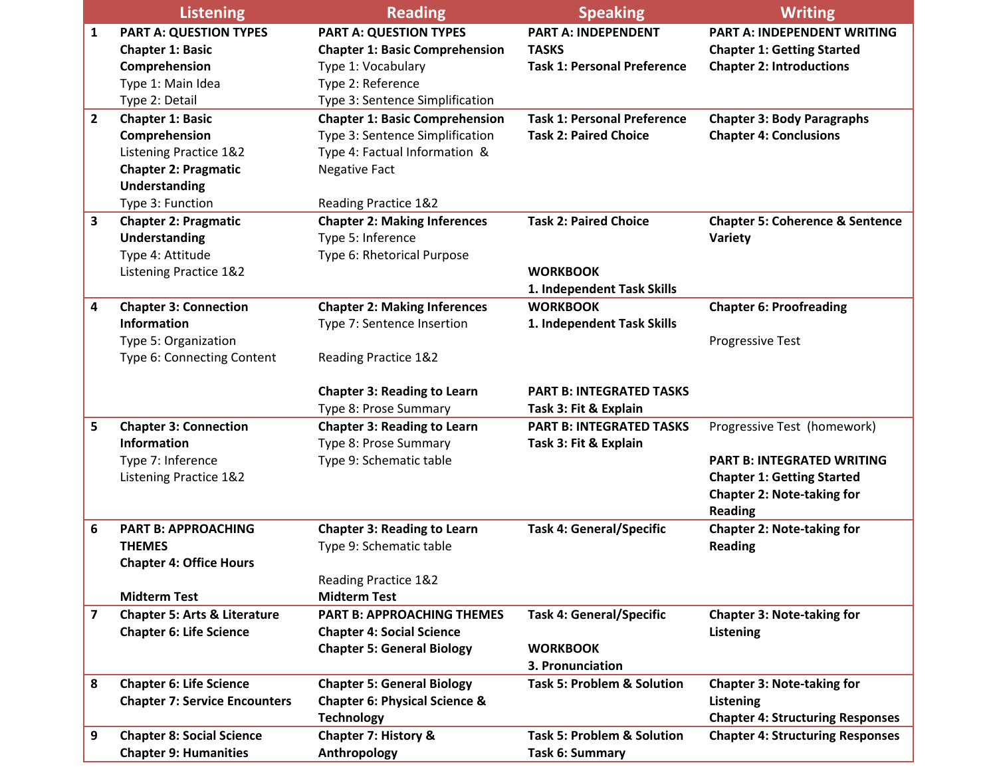|                | <b>Listening</b>                        | <b>Reading</b>                           | <b>Speaking</b>                       | <b>Writing</b>                             |
|----------------|-----------------------------------------|------------------------------------------|---------------------------------------|--------------------------------------------|
| 1              | <b>PART A: QUESTION TYPES</b>           | <b>PART A: QUESTION TYPES</b>            | <b>PART A: INDEPENDENT</b>            | <b>PART A: INDEPENDENT WRITING</b>         |
|                | <b>Chapter 1: Basic</b>                 | <b>Chapter 1: Basic Comprehension</b>    | <b>TASKS</b>                          | <b>Chapter 1: Getting Started</b>          |
|                | Comprehension                           | Type 1: Vocabulary                       | <b>Task 1: Personal Preference</b>    | <b>Chapter 2: Introductions</b>            |
|                | Type 1: Main Idea                       | Type 2: Reference                        |                                       |                                            |
|                | Type 2: Detail                          | Type 3: Sentence Simplification          |                                       |                                            |
| $\overline{2}$ | <b>Chapter 1: Basic</b>                 | <b>Chapter 1: Basic Comprehension</b>    | <b>Task 1: Personal Preference</b>    | <b>Chapter 3: Body Paragraphs</b>          |
|                | Comprehension                           | Type 3: Sentence Simplification          | <b>Task 2: Paired Choice</b>          | <b>Chapter 4: Conclusions</b>              |
|                | Listening Practice 1&2                  | Type 4: Factual Information &            |                                       |                                            |
|                | <b>Chapter 2: Pragmatic</b>             | <b>Negative Fact</b>                     |                                       |                                            |
|                | <b>Understanding</b>                    |                                          |                                       |                                            |
|                | Type 3: Function                        | Reading Practice 1&2                     |                                       |                                            |
| 3              | <b>Chapter 2: Pragmatic</b>             | <b>Chapter 2: Making Inferences</b>      | <b>Task 2: Paired Choice</b>          | <b>Chapter 5: Coherence &amp; Sentence</b> |
|                | Understanding                           | Type 5: Inference                        |                                       | Variety                                    |
|                | Type 4: Attitude                        | Type 6: Rhetorical Purpose               |                                       |                                            |
|                | Listening Practice 1&2                  |                                          | <b>WORKBOOK</b>                       |                                            |
|                |                                         |                                          | 1. Independent Task Skills            |                                            |
| 4              | <b>Chapter 3: Connection</b>            | <b>Chapter 2: Making Inferences</b>      | <b>WORKBOOK</b>                       | <b>Chapter 6: Proofreading</b>             |
|                | <b>Information</b>                      | Type 7: Sentence Insertion               | 1. Independent Task Skills            |                                            |
|                | Type 5: Organization                    |                                          |                                       | <b>Progressive Test</b>                    |
|                | Type 6: Connecting Content              | Reading Practice 1&2                     |                                       |                                            |
|                |                                         | <b>Chapter 3: Reading to Learn</b>       | <b>PART B: INTEGRATED TASKS</b>       |                                            |
|                |                                         | Type 8: Prose Summary                    | Task 3: Fit & Explain                 |                                            |
| 5              | <b>Chapter 3: Connection</b>            | <b>Chapter 3: Reading to Learn</b>       | <b>PART B: INTEGRATED TASKS</b>       | Progressive Test (homework)                |
|                | <b>Information</b>                      | Type 8: Prose Summary                    | Task 3: Fit & Explain                 |                                            |
|                | Type 7: Inference                       | Type 9: Schematic table                  |                                       | <b>PART B: INTEGRATED WRITING</b>          |
|                | Listening Practice 1&2                  |                                          |                                       | <b>Chapter 1: Getting Started</b>          |
|                |                                         |                                          |                                       | <b>Chapter 2: Note-taking for</b>          |
|                |                                         |                                          |                                       | <b>Reading</b>                             |
| 6              | <b>PART B: APPROACHING</b>              | <b>Chapter 3: Reading to Learn</b>       | <b>Task 4: General/Specific</b>       | <b>Chapter 2: Note-taking for</b>          |
|                | <b>THEMES</b>                           | Type 9: Schematic table                  |                                       | <b>Reading</b>                             |
|                | <b>Chapter 4: Office Hours</b>          |                                          |                                       |                                            |
|                |                                         | Reading Practice 1&2                     |                                       |                                            |
|                | <b>Midterm Test</b>                     | <b>Midterm Test</b>                      |                                       |                                            |
| 7              | <b>Chapter 5: Arts &amp; Literature</b> | <b>PART B: APPROACHING THEMES</b>        | <b>Task 4: General/Specific</b>       | <b>Chapter 3: Note-taking for</b>          |
|                | <b>Chapter 6: Life Science</b>          | <b>Chapter 4: Social Science</b>         |                                       | Listening                                  |
|                |                                         | <b>Chapter 5: General Biology</b>        | <b>WORKBOOK</b>                       |                                            |
|                |                                         |                                          | 3. Pronunciation                      |                                            |
| 8              | <b>Chapter 6: Life Science</b>          | <b>Chapter 5: General Biology</b>        | <b>Task 5: Problem &amp; Solution</b> | <b>Chapter 3: Note-taking for</b>          |
|                | <b>Chapter 7: Service Encounters</b>    | <b>Chapter 6: Physical Science &amp;</b> |                                       | <b>Listening</b>                           |
|                |                                         | <b>Technology</b>                        |                                       | <b>Chapter 4: Structuring Responses</b>    |
| 9              | <b>Chapter 8: Social Science</b>        | <b>Chapter 7: History &amp;</b>          | <b>Task 5: Problem &amp; Solution</b> | <b>Chapter 4: Structuring Responses</b>    |
|                | <b>Chapter 9: Humanities</b>            | Anthropology                             | Task 6: Summary                       |                                            |